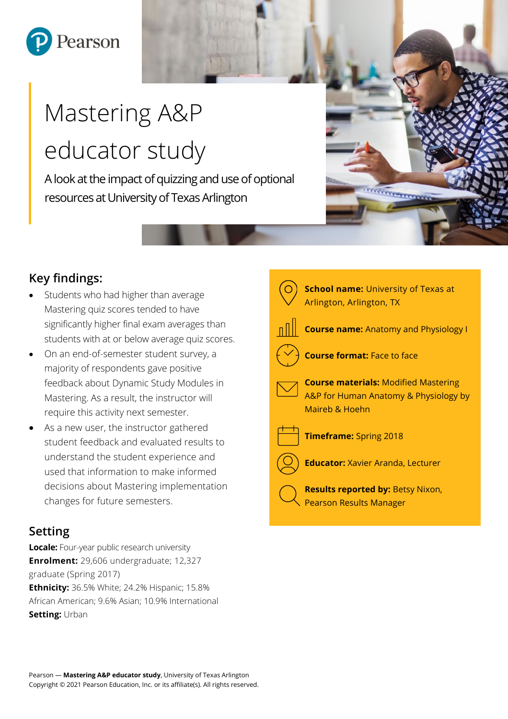

# Mastering A&P educator study

A look at the impact of quizzing and use of optional resources at University of Texas Arlington

# **Key findings:**

- Students who had higher than average Mastering quiz scores tended to have significantly higher final exam averages than students with at or below average quiz scores.
- On an end-of-semester student survey, a majority of respondents gave positive feedback about Dynamic Study Modules in Mastering. As a result, the instructor will require this activity next semester.
- As a new user, the instructor gathered student feedback and evaluated results to understand the student experience and used that information to make informed decisions about Mastering implementation changes for future semesters.

## **Setting**

**Locale:** Four-year public research university **Enrolment:** 29,606 undergraduate; 12,327 graduate (Spring 2017) **Ethnicity:** 36.5% White; 24.2% Hispanic; 15.8% African American; 9.6% Asian; 10.9% International **Setting:** Urban



**WARD TO BEFORE**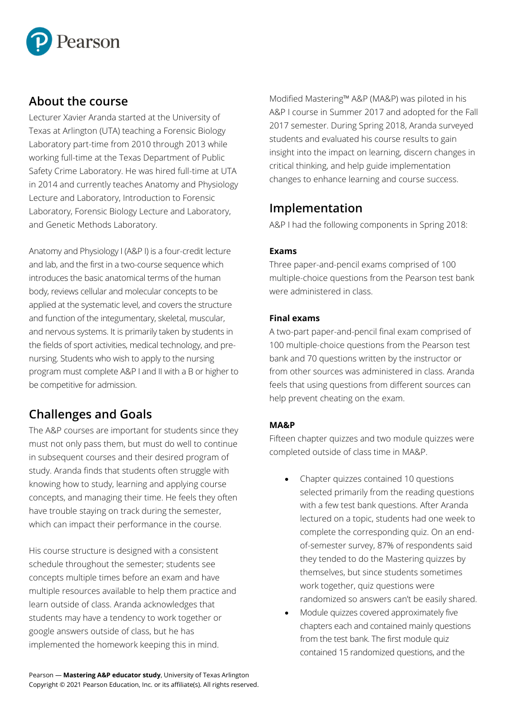

### **About the course**

Lecturer Xavier Aranda started at the University of Texas at Arlington (UTA) teaching a Forensic Biology Laboratory part-time from 2010 through 2013 while working full-time at the Texas Department of Public Safety Crime Laboratory. He was hired full-time at UTA in 2014 and currently teaches Anatomy and Physiology Lecture and Laboratory, Introduction to Forensic Laboratory, Forensic Biology Lecture and Laboratory, and Genetic Methods Laboratory.

Anatomy and Physiology I (A&P I) is a four-credit lecture and lab, and the first in a two-course sequence which introduces the basic anatomical terms of the human body, reviews cellular and molecular concepts to be applied at the systematic level, and covers the structure and function of the integumentary, skeletal, muscular, and nervous systems. It is primarily taken by students in the fields of sport activities, medical technology, and prenursing. Students who wish to apply to the nursing program must complete A&P I and II with a B or higher to be competitive for admission.

# **Challenges and Goals**

The A&P courses are important for students since they must not only pass them, but must do well to continue in subsequent courses and their desired program of study. Aranda finds that students often struggle with knowing how to study, learning and applying course concepts, and managing their time. He feels they often have trouble staying on track during the semester, which can impact their performance in the course.

His course structure is designed with a consistent schedule throughout the semester; students see concepts multiple times before an exam and have multiple resources available to help them practice and learn outside of class. Aranda acknowledges that students may have a tendency to work together or google answers outside of class, but he has implemented the homework keeping this in mind.

Modified Mastering™ A&P (MA&P) was piloted in his A&P I course in Summer 2017 and adopted for the Fall 2017 semester. During Spring 2018, Aranda surveyed students and evaluated his course results to gain insight into the impact on learning, discern changes in critical thinking, and help guide implementation changes to enhance learning and course success.

## **Implementation**

A&P I had the following components in Spring 2018:

#### **Exams**

Three paper-and-pencil exams comprised of 100 multiple-choice questions from the Pearson test bank were administered in class.

#### **Final exams**

A two-part paper-and-pencil final exam comprised of 100 multiple-choice questions from the Pearson test bank and 70 questions written by the instructor or from other sources was administered in class. Aranda feels that using questions from different sources can help prevent cheating on the exam.

#### **MA&P**

Fifteen chapter quizzes and two module quizzes were completed outside of class time in MA&P.

- Chapter quizzes contained 10 questions selected primarily from the reading questions with a few test bank questions. After Aranda lectured on a topic, students had one week to complete the corresponding quiz. On an endof-semester survey, 87% of respondents said they tended to do the Mastering quizzes by themselves, but since students sometimes work together, quiz questions were randomized so answers can't be easily shared.
- Module quizzes covered approximately five chapters each and contained mainly questions from the test bank. The first module quiz contained 15 randomized questions, and the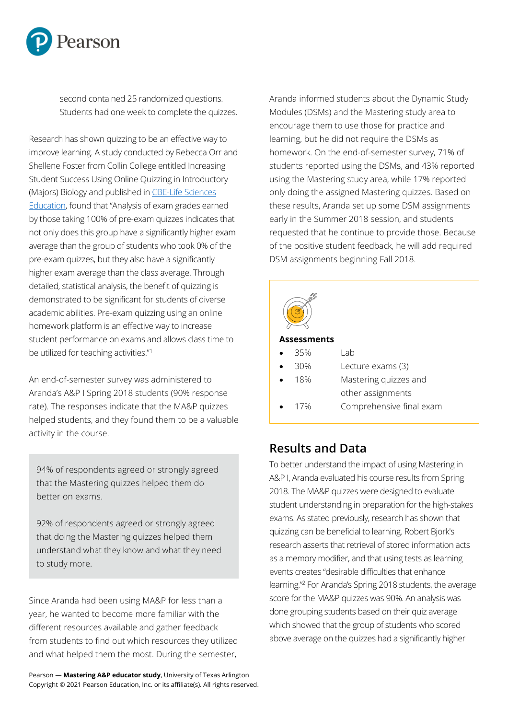

second contained 25 randomized questions. Students had one week to complete the quizzes.

Research has shown quizzing to be an effective way to improve learning. A study conducted by Rebecca Orr and Shellene Foster from Collin College entitled Increasing Student Success Using Online Quizzing in Introductory (Majors) Biology and published in [CBE-Life Sciences](https://www.lifescied.org/)  [Education](https://www.lifescied.org/), found that "Analysis of exam grades earned by those taking 100% of pre-exam quizzes indicates that not only does this group have a significantly higher exam average than the group of students who took 0% of the pre-exam quizzes, but they also have a significantly higher exam average than the class average. Through detailed, statistical analysis, the benefit of quizzing is demonstrated to be significant for students of diverse academic abilities. Pre-exam quizzing using an online homework platform is an effective way to increase student performance on exams and allows class time to be utilized for teaching activities."<sup>1</sup>

An end-of-semester survey was administered to Aranda's A&P I Spring 2018 students (90% response rate). The responses indicate that the MA&P quizzes helped students, and they found them to be a valuable activity in the course.

94% of respondents agreed or strongly agreed that the Mastering quizzes helped them do better on exams.

92% of respondents agreed or strongly agreed that doing the Mastering quizzes helped them understand what they know and what they need to study more.

Since Aranda had been using MA&P for less than a year, he wanted to become more familiar with the different resources available and gather feedback from students to find out which resources they utilized and what helped them the most. During the semester,

Aranda informed students about the Dynamic Study Modules (DSMs) and the Mastering study area to encourage them to use those for practice and learning, but he did not require the DSMs as homework. On the end-of-semester survey, 71% of students reported using the DSMs, and 43% reported using the Mastering study area, while 17% reported only doing the assigned Mastering quizzes. Based on these results, Aranda set up some DSM assignments early in the Summer 2018 session, and students requested that he continue to provide those. Because of the positive student feedback, he will add required DSM assignments beginning Fall 2018.



| Assessments |  |  |
|-------------|--|--|
|             |  |  |

| $\bullet$ | 35% | Lab                      |
|-----------|-----|--------------------------|
| $\bullet$ | 30% | Lecture exams (3)        |
| $\bullet$ | 18% | Mastering quizzes and    |
|           |     | other assignments        |
| $\bullet$ | 17% | Comprehensive final exam |
|           |     |                          |

# **Results and Data**

To better understand the impact of using Mastering in A&P I, Aranda evaluated his course results from Spring 2018. The MA&P quizzes were designed to evaluate student understanding in preparation for the high-stakes exams. As stated previously, research has shown that quizzing can be beneficial to learning. Robert Bjork's research asserts that retrieval of stored information acts as a memory modifier, and that using tests as learning events creates "desirable difficulties that enhance learning."<sup>2</sup> For Aranda's Spring 2018 students, the average score for the MA&P quizzes was 90%. An analysis was done grouping students based on their quiz average which showed that the group of students who scored above average on the quizzes had a significantly higher

Pearson — **Mastering A&P educator study**, University of Texas Arlington Copyright © 2021 Pearson Education, Inc. or its affiliate(s). All rights reserved.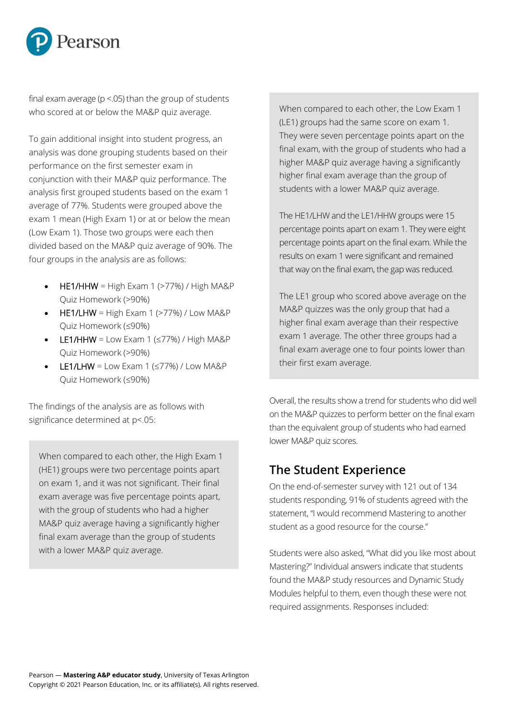

final exam average ( $p < 05$ ) than the group of students who scored at or below the MA&P quiz average.

To gain additional insight into student progress, an analysis was done grouping students based on their performance on the first semester exam in conjunction with their MA&P quiz performance. The analysis first grouped students based on the exam 1 average of 77%. Students were grouped above the exam 1 mean (High Exam 1) or at or below the mean (Low Exam 1). Those two groups were each then divided based on the MA&P quiz average of 90%. The four groups in the analysis are as follows:

- HE1/HHW = High Exam 1 ( $>77\%$ ) / High MA&P Quiz Homework (>90%)
- HE1/LHW = High Exam 1 ( $>77\%$ ) / Low MA&P Quiz Homework (≤90%)
- LE1/HHW = Low Exam 1 ( $\leq$ 77%) / High MA&P Quiz Homework (>90%)
- LE1/LHW = Low Exam 1 ( $\leq$ 77%) / Low MA&P Quiz Homework (≤90%)

The findings of the analysis are as follows with significance determined at p<.05:

When compared to each other, the High Exam 1 (HE1) groups were two percentage points apart on exam 1, and it was not significant. Their final exam average was five percentage points apart, with the group of students who had a higher MA&P quiz average having a significantly higher final exam average than the group of students with a lower MA&P quiz average.

When compared to each other, the Low Exam 1 (LE1) groups had the same score on exam 1. They were seven percentage points apart on the final exam, with the group of students who had a higher MA&P quiz average having a significantly higher final exam average than the group of students with a lower MA&P quiz average.

The HE1/LHW and the LE1/HHW groups were 15 percentage points apart on exam 1. They were eight percentage points apart on the final exam. While the results on exam 1 were significant and remained that way on the final exam, the gap was reduced.

The LE1 group who scored above average on the MA&P quizzes was the only group that had a higher final exam average than their respective exam 1 average. The other three groups had a final exam average one to four points lower than their first exam average.

Overall, the results show a trend for students who did well on the MA&P quizzes to perform better on the final exam than the equivalent group of students who had earned lower MA&P quiz scores.

## **The Student Experience**

On the end-of-semester survey with 121 out of 134 students responding, 91% of students agreed with the statement, "I would recommend Mastering to another student as a good resource for the course."

Students were also asked, "What did you like most about Mastering?" Individual answers indicate that students found the MA&P study resources and Dynamic Study Modules helpful to them, even though these were not required assignments. Responses included: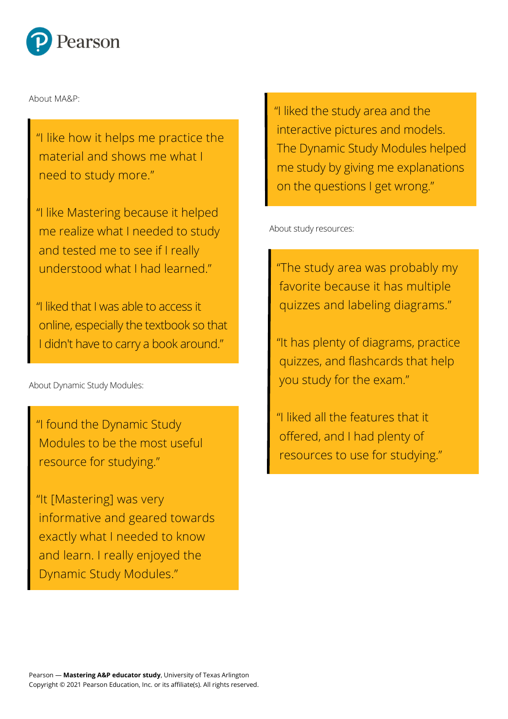

About MA&P:

"I like how it helps me practice the material and shows me what I need to study more."

"I like Mastering because it helped me realize what I needed to study and tested me to see if I really understood what I had learned."

"I liked that I was able to access it online, especially the textbook so that I didn't have to carry a book around."

About Dynamic Study Modules:

"I found the Dynamic Study Modules to be the most useful resource for studying."

"It [Mastering] was very informative and geared towards exactly what I needed to know and learn. I really enjoyed the Dynamic Study Modules."

"I liked the study area and the interactive pictures and models. The Dynamic Study Modules helped me study by giving me explanations on the questions I get wrong."

About study resources:

"The study area was probably my favorite because it has multiple quizzes and labeling diagrams."

"It has plenty of diagrams, practice quizzes, and flashcards that help you study for the exam."

"I liked all the features that it offered, and I had plenty of resources to use for studying."